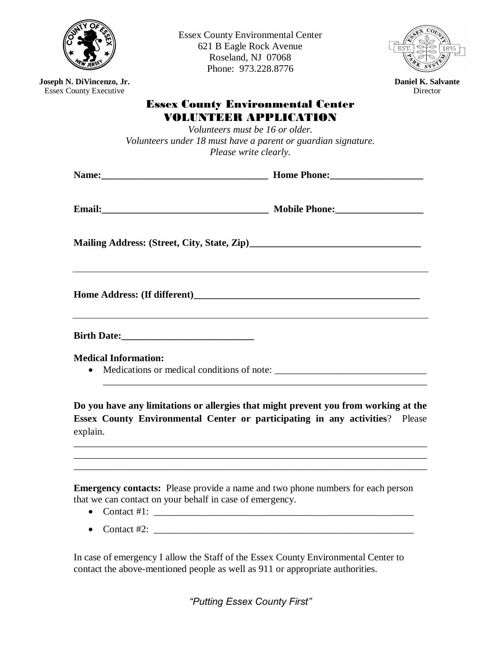

Essex County Environmental Center 621 B Eagle Rock Avenue Roseland, NJ 07068 Phone: 973.228.8776



**Director** 

**Joseph N. DiVincenzo, Jr.** Essex County Executive

# Essex County Environmental Center VOLUNTEER APPLICATION

*Volunteers must be 16 or older. Volunteers under 18 must have a parent or guardian signature. Please write clearly.*

| Email: 2008. 2010. 2010. 2010. 2010. 2010. 2010. 2010. 2010. 2010. 2011. 2012. 2012. 2012. 2012. 2012. 2013. 20 |  |
|-----------------------------------------------------------------------------------------------------------------|--|
|                                                                                                                 |  |
|                                                                                                                 |  |
|                                                                                                                 |  |

**Medical Information:**

• Medications or medical conditions of note:

**Do you have any limitations or allergies that might prevent you from working at the Essex County Environmental Center or participating in any activities**? Please explain.

\_\_\_\_\_\_\_\_\_\_\_\_\_\_\_\_\_\_\_\_\_\_\_\_\_\_\_\_\_\_\_\_\_\_\_\_\_\_\_\_\_\_\_\_\_\_\_\_\_\_\_\_\_\_\_\_\_\_\_\_\_\_\_\_\_\_\_\_\_\_\_\_ \_\_\_\_\_\_\_\_\_\_\_\_\_\_\_\_\_\_\_\_\_\_\_\_\_\_\_\_\_\_\_\_\_\_\_\_\_\_\_\_\_\_\_\_\_\_\_\_\_\_\_\_\_\_\_\_\_\_\_\_\_\_\_\_\_\_\_\_\_\_\_\_

\_\_\_\_\_\_\_\_\_\_\_\_\_\_\_\_\_\_\_\_\_\_\_\_\_\_\_\_\_\_\_\_\_\_\_\_\_\_\_\_\_\_\_\_\_\_\_\_\_\_\_\_\_\_\_\_\_\_\_\_\_\_\_\_\_\_

**Emergency contacts:** Please provide a name and two phone numbers for each person that we can contact on your behalf in case of emergency.

- Contact #1:  $\blacksquare$
- Contact  $#2$ :

In case of emergency I allow the Staff of the Essex County Environmental Center to contact the above-mentioned people as well as 911 or appropriate authorities.

*"Putting Essex County First"*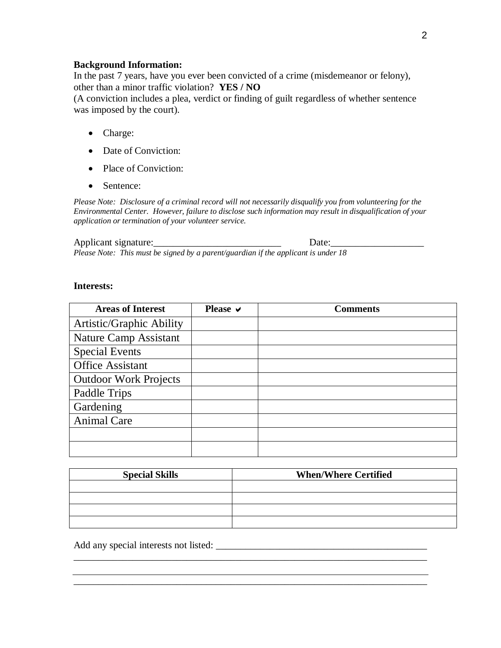#### **Background Information:**

In the past 7 years, have you ever been convicted of a crime (misdemeanor or felony), other than a minor traffic violation? **YES / NO**

(A conviction includes a plea, verdict or finding of guilt regardless of whether sentence was imposed by the court).

- Charge:
- Date of Conviction:
- Place of Conviction:
- Sentence:

*Please Note: Disclosure of a criminal record will not necessarily disqualify you from volunteering for the Environmental Center. However, failure to disclose such information may result in disqualification of your application or termination of your volunteer service.*

#### Applicant signature: Date:

*Please Note: This must be signed by a parent/guardian if the applicant is under 18*

#### **Interests:**

| <b>Areas of Interest</b>     | Please $\vee$ | <b>Comments</b> |
|------------------------------|---------------|-----------------|
| Artistic/Graphic Ability     |               |                 |
| Nature Camp Assistant        |               |                 |
| <b>Special Events</b>        |               |                 |
| <b>Office Assistant</b>      |               |                 |
| <b>Outdoor Work Projects</b> |               |                 |
| Paddle Trips                 |               |                 |
| Gardening                    |               |                 |
| <b>Animal Care</b>           |               |                 |
|                              |               |                 |
|                              |               |                 |

| <b>Special Skills</b> | <b>When/Where Certified</b> |  |  |
|-----------------------|-----------------------------|--|--|
|                       |                             |  |  |
|                       |                             |  |  |
|                       |                             |  |  |
|                       |                             |  |  |

\_\_\_\_\_\_\_\_\_\_\_\_\_\_\_\_\_\_\_\_\_\_\_\_\_\_\_\_\_\_\_\_\_\_\_\_\_\_\_\_\_\_\_\_\_\_\_\_\_\_\_\_\_\_\_\_\_\_\_\_\_\_\_\_\_\_\_\_\_\_\_\_

Add any special interests not listed: \_\_\_\_\_\_\_\_\_\_\_\_\_\_\_\_\_\_\_\_\_\_\_\_\_\_\_\_\_\_\_\_\_\_\_\_\_\_\_\_\_\_\_

2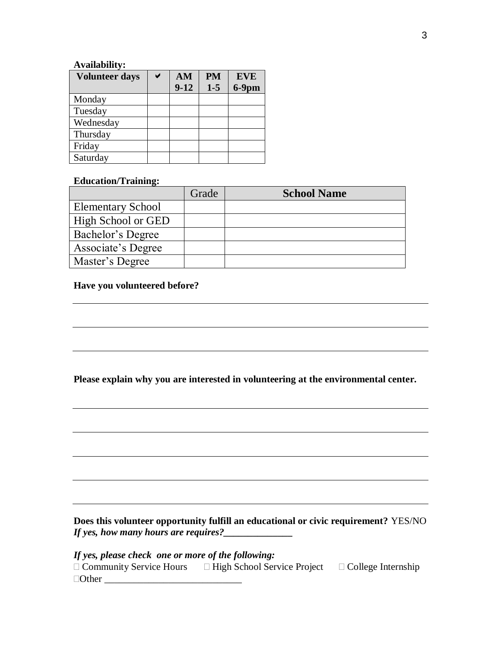## **Availability:**

| <b>Volunteer days</b> | AM     | <b>PM</b> | <b>EVE</b> |
|-----------------------|--------|-----------|------------|
|                       | $9-12$ | $1 - 5$   | $6-9$ pm   |
| Monday                |        |           |            |
| Tuesday               |        |           |            |
| Wednesday             |        |           |            |
| Thursday              |        |           |            |
| Friday                |        |           |            |
| Saturday              |        |           |            |

## **Education/Training:**

|                          | Grade | <b>School Name</b> |
|--------------------------|-------|--------------------|
| <b>Elementary School</b> |       |                    |
| High School or GED       |       |                    |
| Bachelor's Degree        |       |                    |
| Associate's Degree       |       |                    |
| Master's Degree          |       |                    |

## **Have you volunteered before?**

**Please explain why you are interested in volunteering at the environmental center.**

**Does this volunteer opportunity fulfill an educational or civic requirement?** YES/NO *If yes, how many hours are requires?* 

*If yes, please check one or more of the following:*

| $\Box$ Community Service Hours | $\Box$ High School Service Project | $\Box$ College Internship |
|--------------------------------|------------------------------------|---------------------------|
| $\Box$ Other                   |                                    |                           |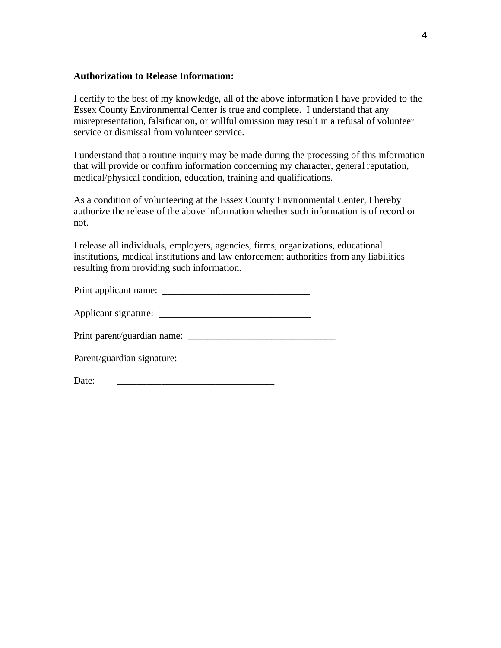## **Authorization to Release Information:**

I certify to the best of my knowledge, all of the above information I have provided to the Essex County Environmental Center is true and complete. I understand that any misrepresentation, falsification, or willful omission may result in a refusal of volunteer service or dismissal from volunteer service.

I understand that a routine inquiry may be made during the processing of this information that will provide or confirm information concerning my character, general reputation, medical/physical condition, education, training and qualifications.

As a condition of volunteering at the Essex County Environmental Center, I hereby authorize the release of the above information whether such information is of record or not.

I release all individuals, employers, agencies, firms, organizations, educational institutions, medical institutions and law enforcement authorities from any liabilities resulting from providing such information.

| Print applicant name:<br><u> 1980 - Jan Samuel Barbara, margaret e</u> |  |
|------------------------------------------------------------------------|--|
| Applicant signature:                                                   |  |
| Print parent/guardian name:                                            |  |
| Parent/guardian signature:                                             |  |

Date: \_\_\_\_\_\_\_\_\_\_\_\_\_\_\_\_\_\_\_\_\_\_\_\_\_\_\_\_\_\_\_\_